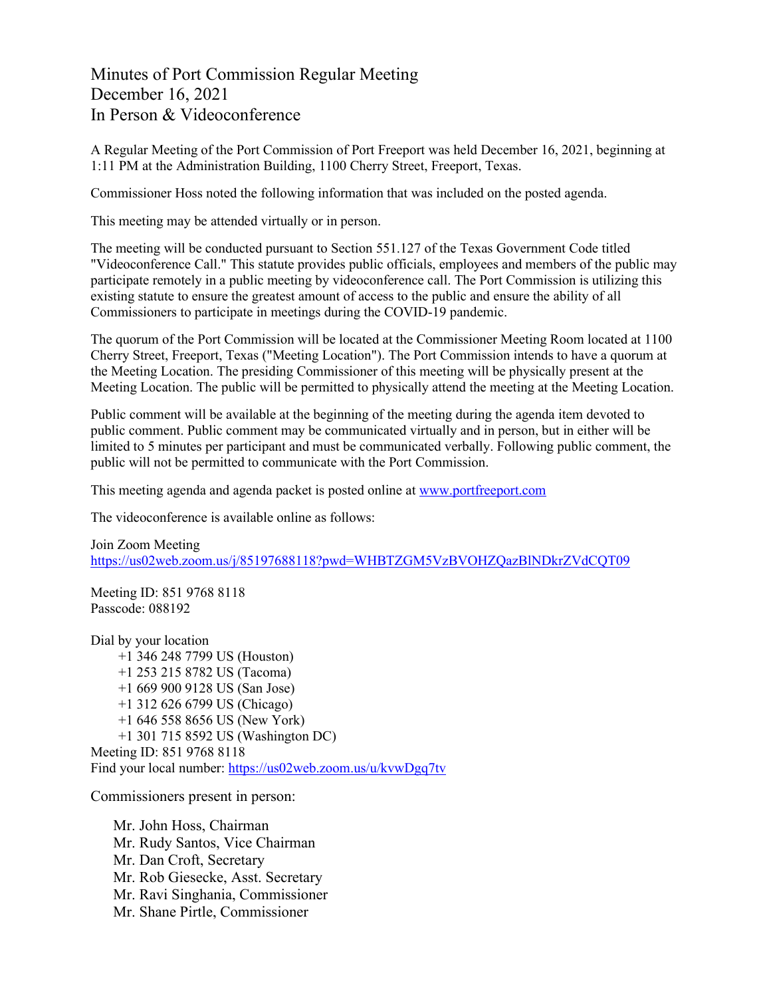Minutes of Port Commission Regular Meeting December 16, 2021 In Person & Videoconference

A Regular Meeting of the Port Commission of Port Freeport was held December 16, 2021, beginning at 1:11 PM at the Administration Building, 1100 Cherry Street, Freeport, Texas.

Commissioner Hoss noted the following information that was included on the posted agenda.

This meeting may be attended virtually or in person.

The meeting will be conducted pursuant to Section 551.127 of the Texas Government Code titled "Videoconference Call." This statute provides public officials, employees and members of the public may participate remotely in a public meeting by videoconference call. The Port Commission is utilizing this existing statute to ensure the greatest amount of access to the public and ensure the ability of all Commissioners to participate in meetings during the COVID-19 pandemic.

The quorum of the Port Commission will be located at the Commissioner Meeting Room located at 1100 Cherry Street, Freeport, Texas ("Meeting Location"). The Port Commission intends to have a quorum at the Meeting Location. The presiding Commissioner of this meeting will be physically present at the Meeting Location. The public will be permitted to physically attend the meeting at the Meeting Location.

Public comment will be available at the beginning of the meeting during the agenda item devoted to public comment. Public comment may be communicated virtually and in person, but in either will be limited to 5 minutes per participant and must be communicated verbally. Following public comment, the public will not be permitted to communicate with the Port Commission.

This meeting agenda and agenda packet is posted online at [www.portfreeport.com](http://www.portfreeport.com/)

The videoconference is available online as follows:

Join Zoom Meeting <https://us02web.zoom.us/j/85197688118?pwd=WHBTZGM5VzBVOHZQazBlNDkrZVdCQT09>

Meeting ID: 851 9768 8118 Passcode: 088192

Dial by your location +1 346 248 7799 US (Houston) +1 253 215 8782 US (Tacoma) +1 669 900 9128 US (San Jose) +1 312 626 6799 US (Chicago) +1 646 558 8656 US (New York) +1 301 715 8592 US (Washington DC) Meeting ID: 851 9768 8118 Find your local number:<https://us02web.zoom.us/u/kvwDgq7tv>

Commissioners present in person:

Mr. John Hoss, Chairman Mr. Rudy Santos, Vice Chairman Mr. Dan Croft, Secretary Mr. Rob Giesecke, Asst. Secretary Mr. Ravi Singhania, Commissioner Mr. Shane Pirtle, Commissioner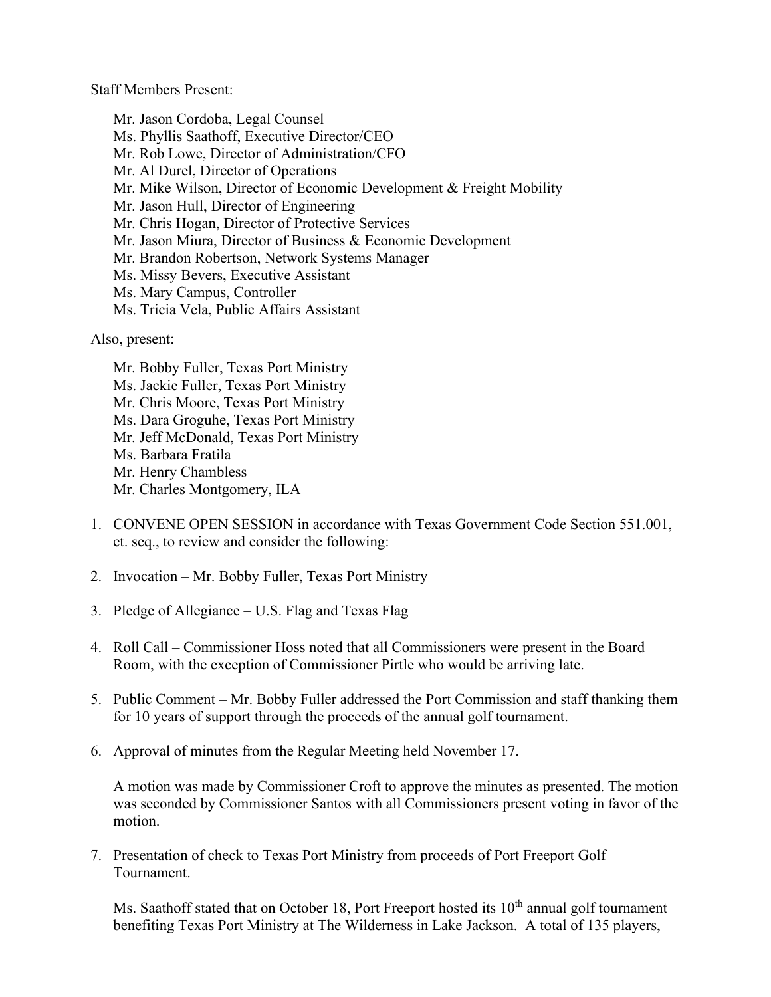Staff Members Present:

Mr. Jason Cordoba, Legal Counsel Ms. Phyllis Saathoff, Executive Director/CEO Mr. Rob Lowe, Director of Administration/CFO Mr. Al Durel, Director of Operations Mr. Mike Wilson, Director of Economic Development & Freight Mobility Mr. Jason Hull, Director of Engineering Mr. Chris Hogan, Director of Protective Services Mr. Jason Miura, Director of Business & Economic Development Mr. Brandon Robertson, Network Systems Manager Ms. Missy Bevers, Executive Assistant Ms. Mary Campus, Controller Ms. Tricia Vela, Public Affairs Assistant

Also, present:

- Mr. Bobby Fuller, Texas Port Ministry Ms. Jackie Fuller, Texas Port Ministry Mr. Chris Moore, Texas Port Ministry Ms. Dara Groguhe, Texas Port Ministry Mr. Jeff McDonald, Texas Port Ministry Ms. Barbara Fratila Mr. Henry Chambless Mr. Charles Montgomery, ILA
- 1. CONVENE OPEN SESSION in accordance with Texas Government Code Section 551.001, et. seq., to review and consider the following:
- 2. Invocation Mr. Bobby Fuller, Texas Port Ministry
- 3. Pledge of Allegiance U.S. Flag and Texas Flag
- 4. Roll Call Commissioner Hoss noted that all Commissioners were present in the Board Room, with the exception of Commissioner Pirtle who would be arriving late.
- 5. Public Comment Mr. Bobby Fuller addressed the Port Commission and staff thanking them for 10 years of support through the proceeds of the annual golf tournament.
- 6. Approval of minutes from the Regular Meeting held November 17.

A motion was made by Commissioner Croft to approve the minutes as presented. The motion was seconded by Commissioner Santos with all Commissioners present voting in favor of the motion.

7. Presentation of check to Texas Port Ministry from proceeds of Port Freeport Golf Tournament.

Ms. Saathoff stated that on October 18, Port Freeport hosted its  $10<sup>th</sup>$  annual golf tournament benefiting Texas Port Ministry at The Wilderness in Lake Jackson. A total of 135 players,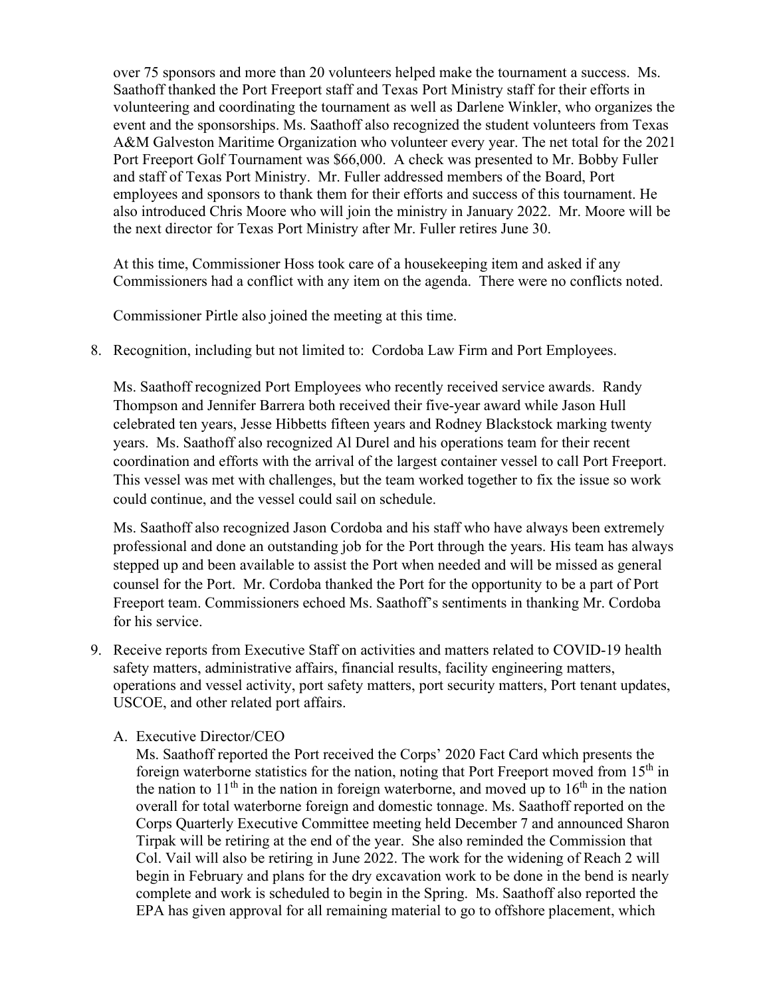over 75 sponsors and more than 20 volunteers helped make the tournament a success. Ms. Saathoff thanked the Port Freeport staff and Texas Port Ministry staff for their efforts in volunteering and coordinating the tournament as well as Darlene Winkler, who organizes the event and the sponsorships. Ms. Saathoff also recognized the student volunteers from Texas A&M Galveston Maritime Organization who volunteer every year. The net total for the 2021 Port Freeport Golf Tournament was \$66,000. A check was presented to Mr. Bobby Fuller and staff of Texas Port Ministry. Mr. Fuller addressed members of the Board, Port employees and sponsors to thank them for their efforts and success of this tournament. He also introduced Chris Moore who will join the ministry in January 2022. Mr. Moore will be the next director for Texas Port Ministry after Mr. Fuller retires June 30.

At this time, Commissioner Hoss took care of a housekeeping item and asked if any Commissioners had a conflict with any item on the agenda. There were no conflicts noted.

Commissioner Pirtle also joined the meeting at this time.

8. Recognition, including but not limited to: Cordoba Law Firm and Port Employees.

Ms. Saathoff recognized Port Employees who recently received service awards. Randy Thompson and Jennifer Barrera both received their five-year award while Jason Hull celebrated ten years, Jesse Hibbetts fifteen years and Rodney Blackstock marking twenty years. Ms. Saathoff also recognized Al Durel and his operations team for their recent coordination and efforts with the arrival of the largest container vessel to call Port Freeport. This vessel was met with challenges, but the team worked together to fix the issue so work could continue, and the vessel could sail on schedule.

Ms. Saathoff also recognized Jason Cordoba and his staff who have always been extremely professional and done an outstanding job for the Port through the years. His team has always stepped up and been available to assist the Port when needed and will be missed as general counsel for the Port. Mr. Cordoba thanked the Port for the opportunity to be a part of Port Freeport team. Commissioners echoed Ms. Saathoff's sentiments in thanking Mr. Cordoba for his service.

- 9. Receive reports from Executive Staff on activities and matters related to COVID-19 health safety matters, administrative affairs, financial results, facility engineering matters, operations and vessel activity, port safety matters, port security matters, Port tenant updates, USCOE, and other related port affairs.
	- A. Executive Director/CEO

Ms. Saathoff reported the Port received the Corps' 2020 Fact Card which presents the foreign waterborne statistics for the nation, noting that Port Freeport moved from 15<sup>th</sup> in the nation to  $11<sup>th</sup>$  in the nation in foreign waterborne, and moved up to  $16<sup>th</sup>$  in the nation overall for total waterborne foreign and domestic tonnage. Ms. Saathoff reported on the Corps Quarterly Executive Committee meeting held December 7 and announced Sharon Tirpak will be retiring at the end of the year. She also reminded the Commission that Col. Vail will also be retiring in June 2022. The work for the widening of Reach 2 will begin in February and plans for the dry excavation work to be done in the bend is nearly complete and work is scheduled to begin in the Spring. Ms. Saathoff also reported the EPA has given approval for all remaining material to go to offshore placement, which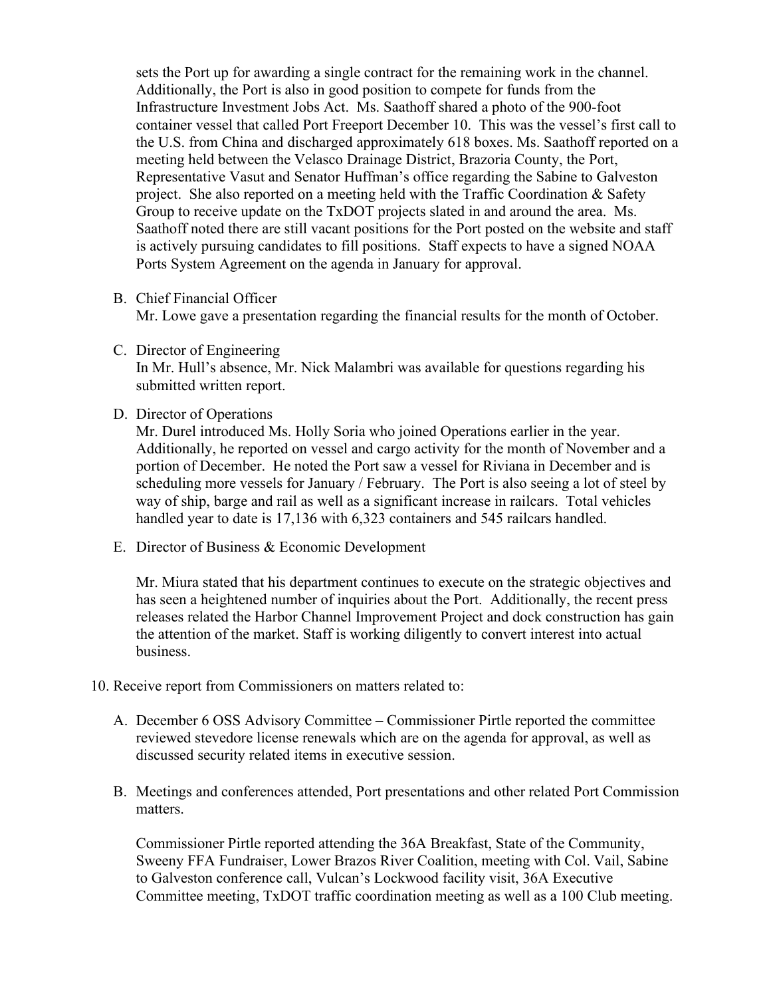sets the Port up for awarding a single contract for the remaining work in the channel. Additionally, the Port is also in good position to compete for funds from the Infrastructure Investment Jobs Act. Ms. Saathoff shared a photo of the 900-foot container vessel that called Port Freeport December 10. This was the vessel's first call to the U.S. from China and discharged approximately 618 boxes. Ms. Saathoff reported on a meeting held between the Velasco Drainage District, Brazoria County, the Port, Representative Vasut and Senator Huffman's office regarding the Sabine to Galveston project. She also reported on a meeting held with the Traffic Coordination & Safety Group to receive update on the TxDOT projects slated in and around the area. Ms. Saathoff noted there are still vacant positions for the Port posted on the website and staff is actively pursuing candidates to fill positions. Staff expects to have a signed NOAA Ports System Agreement on the agenda in January for approval.

B. Chief Financial Officer

Mr. Lowe gave a presentation regarding the financial results for the month of October.

C. Director of Engineering

In Mr. Hull's absence, Mr. Nick Malambri was available for questions regarding his submitted written report.

D. Director of Operations

Mr. Durel introduced Ms. Holly Soria who joined Operations earlier in the year. Additionally, he reported on vessel and cargo activity for the month of November and a portion of December. He noted the Port saw a vessel for Riviana in December and is scheduling more vessels for January / February. The Port is also seeing a lot of steel by way of ship, barge and rail as well as a significant increase in railcars. Total vehicles handled year to date is 17,136 with 6,323 containers and 545 railcars handled.

E. Director of Business & Economic Development

Mr. Miura stated that his department continues to execute on the strategic objectives and has seen a heightened number of inquiries about the Port. Additionally, the recent press releases related the Harbor Channel Improvement Project and dock construction has gain the attention of the market. Staff is working diligently to convert interest into actual business.

- 10. Receive report from Commissioners on matters related to:
	- A. December 6 OSS Advisory Committee Commissioner Pirtle reported the committee reviewed stevedore license renewals which are on the agenda for approval, as well as discussed security related items in executive session.
	- B. Meetings and conferences attended, Port presentations and other related Port Commission matters.

Commissioner Pirtle reported attending the 36A Breakfast, State of the Community, Sweeny FFA Fundraiser, Lower Brazos River Coalition, meeting with Col. Vail, Sabine to Galveston conference call, Vulcan's Lockwood facility visit, 36A Executive Committee meeting, TxDOT traffic coordination meeting as well as a 100 Club meeting.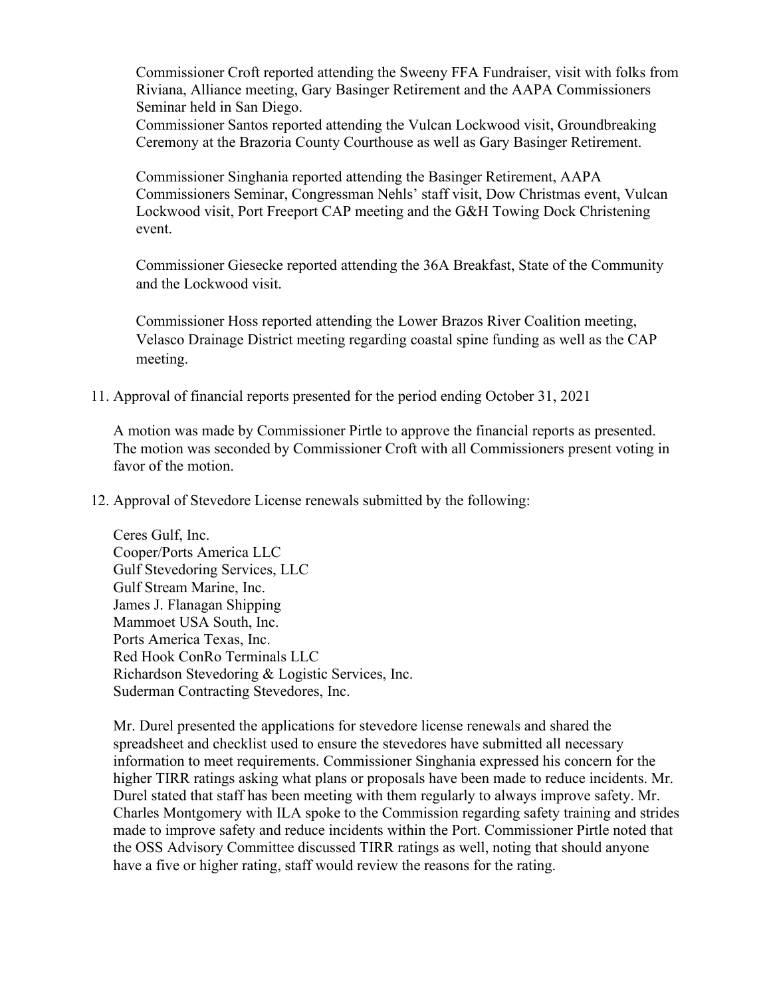Commissioner Croft reported attending the Sweeny FFA Fundraiser, visit with folks from Riviana, Alliance meeting, Gary Basinger Retirement and the AAPA Commissioners Seminar held in San Diego.

Commissioner Santos reported attending the Vulcan Lockwood visit, Groundbreaking Ceremony at the Brazoria County Courthouse as well as Gary Basinger Retirement.

Commissioner Singhania reported attending the Basinger Retirement, AAPA Commissioners Seminar, Congressman Nehls' staff visit, Dow Christmas event, Vulcan Lockwood visit, Port Freeport CAP meeting and the G&H Towing Dock Christening event.

Commissioner Giesecke reported attending the 36A Breakfast, State of the Community and the Lockwood visit.

Commissioner Hoss reported attending the Lower Brazos River Coalition meeting, Velasco Drainage District meeting regarding coastal spine funding as well as the CAP meeting.

11. Approval of financial reports presented for the period ending October 31, 2021

A motion was made by Commissioner Pirtle to approve the financial reports as presented. The motion was seconded by Commissioner Croft with all Commissioners present voting in favor of the motion.

12. Approval of Stevedore License renewals submitted by the following:

Ceres Gulf, Inc. Cooper/Ports America LLC Gulf Stevedoring Services, LLC Gulf Stream Marine, Inc. James J. Flanagan Shipping Mammoet USA South, Inc. Ports America Texas, Inc. Red Hook ConRo Terminals LLC Richardson Stevedoring & Logistic Services, Inc. Suderman Contracting Stevedores, Inc.

Mr. Durel presented the applications for stevedore license renewals and shared the spreadsheet and checklist used to ensure the stevedores have submitted all necessary information to meet requirements. Commissioner Singhania expressed his concern for the higher TIRR ratings asking what plans or proposals have been made to reduce incidents. Mr. Durel stated that staff has been meeting with them regularly to always improve safety. Mr. Charles Montgomery with ILA spoke to the Commission regarding safety training and strides made to improve safety and reduce incidents within the Port. Commissioner Pirtle noted that the OSS Advisory Committee discussed TIRR ratings as well, noting that should anyone have a five or higher rating, staff would review the reasons for the rating.